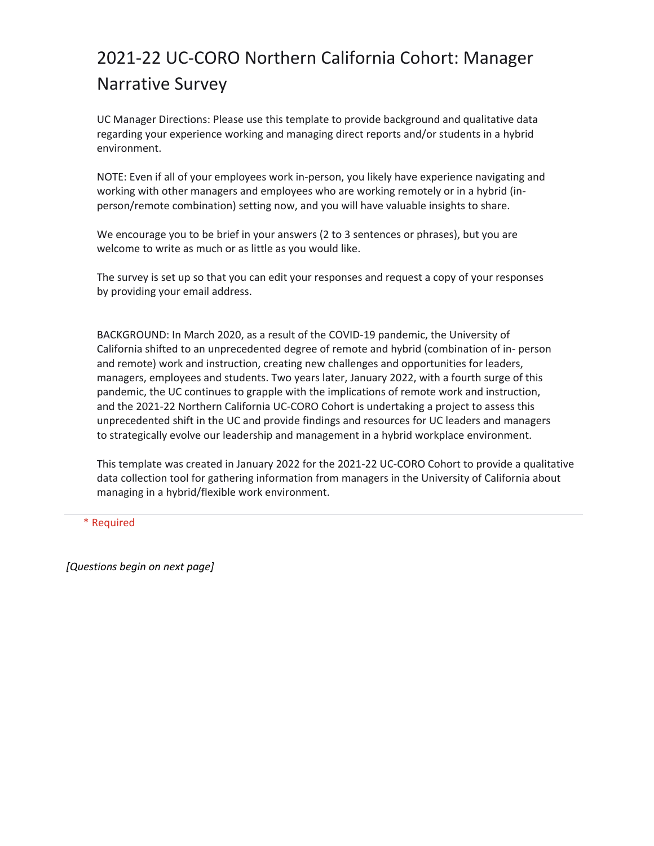# 2021-22 UC-CORO Northern California Cohort: Manager Narrative Survey

UC Manager Directions: Please use this template to provide background and qualitative data regarding your experience working and managing direct reports and/or students in a hybrid environment.

NOTE: Even if all of your employees work in-person, you likely have experience navigating and working with other managers and employees who are working remotely or in a hybrid (inperson/remote combination) setting now, and you will have valuable insights to share.

We encourage you to be brief in your answers (2 to 3 sentences or phrases), but you are welcome to write as much or as little as you would like.

The survey is set up so that you can edit your responses and request a copy of your responses by providing your email address.

BACKGROUND: In March 2020, as a result of the COVID-19 pandemic, the University of California shifted to an unprecedented degree of remote and hybrid (combination of in- person and remote) work and instruction, creating new challenges and opportunities for leaders, managers, employees and students. Two years later, January 2022, with a fourth surge of this pandemic, the UC continues to grapple with the implications of remote work and instruction, and the 2021-22 Northern California UC-CORO Cohort is undertaking a project to assess this unprecedented shift in the UC and provide findings and resources for UC leaders and managers to strategically evolve our leadership and management in a hybrid workplace environment.

This template was created in January 2022 for the 2021-22 UC-CORO Cohort to provide a qualitative data collection tool for gathering information from managers in the University of California about managing in a hybrid/flexible work environment.

\* Required

*[Questions begin on next page]*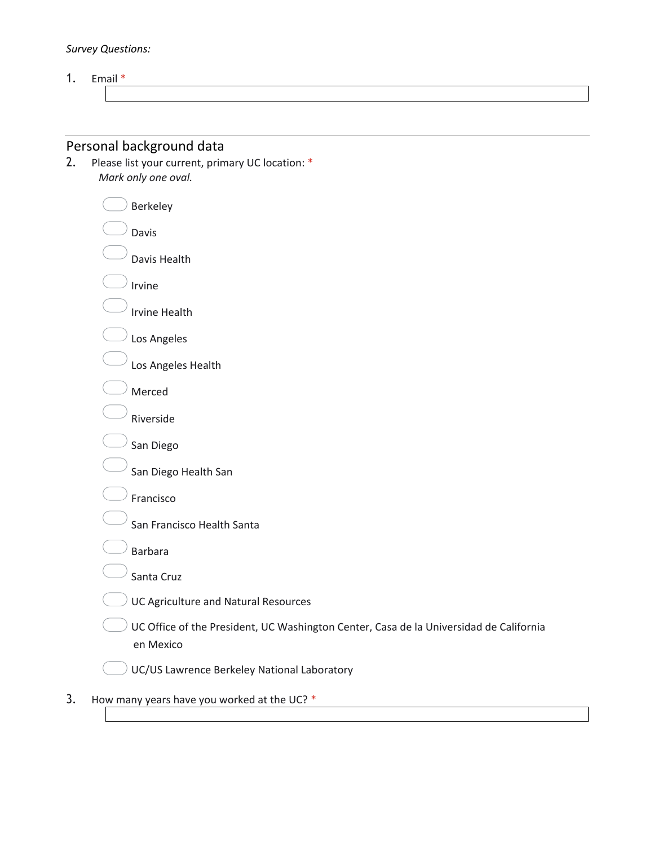#### *Survey Questions:*

1. Email \*

# Personal background data

2. Please list your current, primary UC location: \* *Mark only one oval.*

| Berkeley                                                                                            |
|-----------------------------------------------------------------------------------------------------|
| Davis                                                                                               |
| Davis Health                                                                                        |
| Irvine                                                                                              |
| <b>Irvine Health</b>                                                                                |
| Los Angeles                                                                                         |
| Los Angeles Health                                                                                  |
| Merced                                                                                              |
| Riverside                                                                                           |
| San Diego                                                                                           |
| San Diego Health San                                                                                |
| Francisco                                                                                           |
| San Francisco Health Santa                                                                          |
| <b>Barbara</b>                                                                                      |
| Santa Cruz                                                                                          |
| UC Agriculture and Natural Resources                                                                |
| UC Office of the President, UC Washington Center, Casa de la Universidad de California<br>en Mexico |
| UC/US Lawrence Berkeley National Laboratory                                                         |

3. How many years have you worked at the UC? \*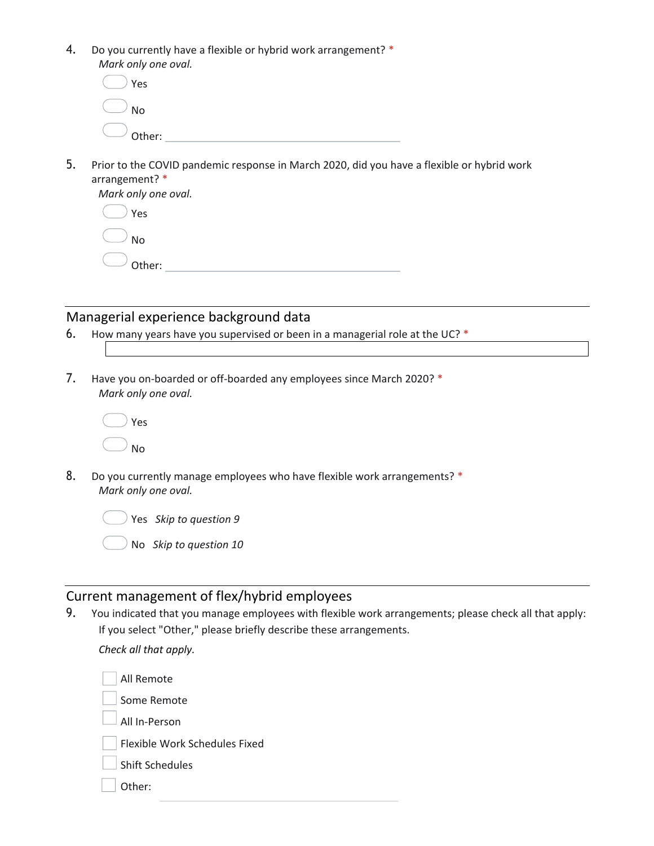4. Do you currently have a flexible or hybrid work arrangement? \* *Mark only one oval.*

| $()$ Yes          |  |
|-------------------|--|
| $\bigcup$ No      |  |
| $\bigcirc$ other: |  |

5. Prior to the COVID pandemic response in March 2020, did you have a flexible or hybrid work arrangement? \*

| Mark only one oval. |
|---------------------|
| Yes                 |
| $\cup$ No           |
| Other:              |
|                     |

### Managerial experience background data

- 6. How many years have you supervised or been in a managerial role at the UC? \*
- 7. Have you on-boarded or off-boarded any employees since March 2020? \* *Mark only one oval.*

|  | Yes |
|--|-----|
|  | No  |

8. Do you currently manage employees who have flexible work arrangements? \* *Mark only one oval.*



Yes *Skip to question 9*

No *Skip to question 10*

### Current management of flex/hybrid employees

9. You indicated that you manage employees with flexible work arrangements; please check all that apply: If you select "Other," please briefly describe these arrangements.

*Check all that apply.*

| All Remote                    |
|-------------------------------|
| Some Remote                   |
| All In-Person                 |
| Flexible Work Schedules Fixed |
| <b>Shift Schedules</b>        |
| Other:                        |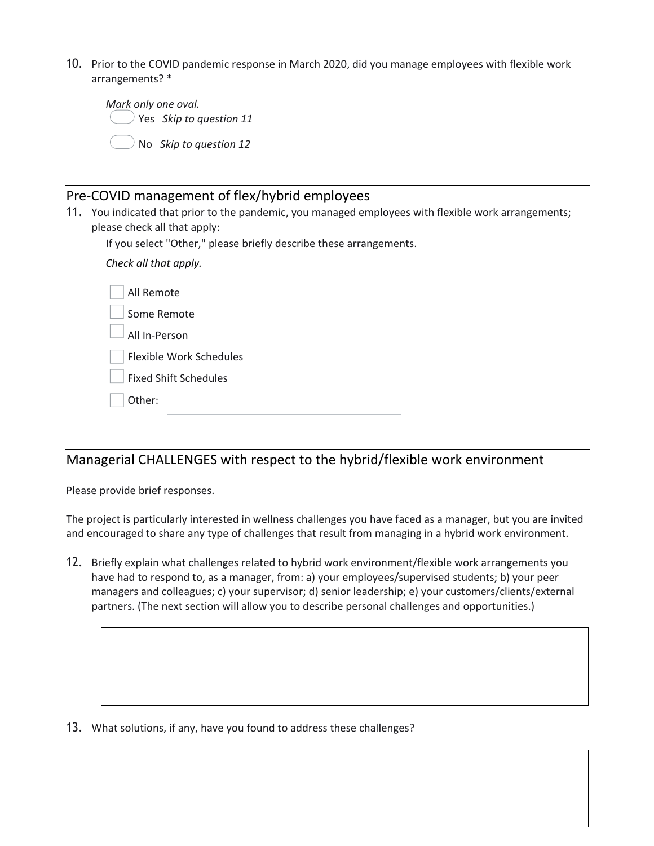10. Prior to the COVID pandemic response in March 2020, did you manage employees with flexible work arrangements? \*

| Mark only one oval. |                                    |  |  |  |
|---------------------|------------------------------------|--|--|--|
|                     | $\bigcirc$ Yes Skip to question 11 |  |  |  |
|                     | $\bigcirc$ No Skip to question 12  |  |  |  |

# Pre-COVID management of flex/hybrid employees

11. You indicated that prior to the pandemic, you managed employees with flexible work arrangements; please check all that apply:

If you select "Other," please briefly describe these arrangements.

*Check all that apply.*

| All Remote                   |
|------------------------------|
| Some Remote                  |
| All In-Person                |
| Flexible Work Schedules      |
| <b>Fixed Shift Schedules</b> |
| Other:                       |
|                              |

# Managerial CHALLENGES with respect to the hybrid/flexible work environment

Please provide brief responses.

The project is particularly interested in wellness challenges you have faced as a manager, but you are invited and encouraged to share any type of challenges that result from managing in a hybrid work environment.

12. Briefly explain what challenges related to hybrid work environment/flexible work arrangements you have had to respond to, as a manager, from: a) your employees/supervised students; b) your peer managers and colleagues; c) your supervisor; d) senior leadership; e) your customers/clients/external partners. (The next section will allow you to describe personal challenges and opportunities.)

13. What solutions, if any, have you found to address these challenges?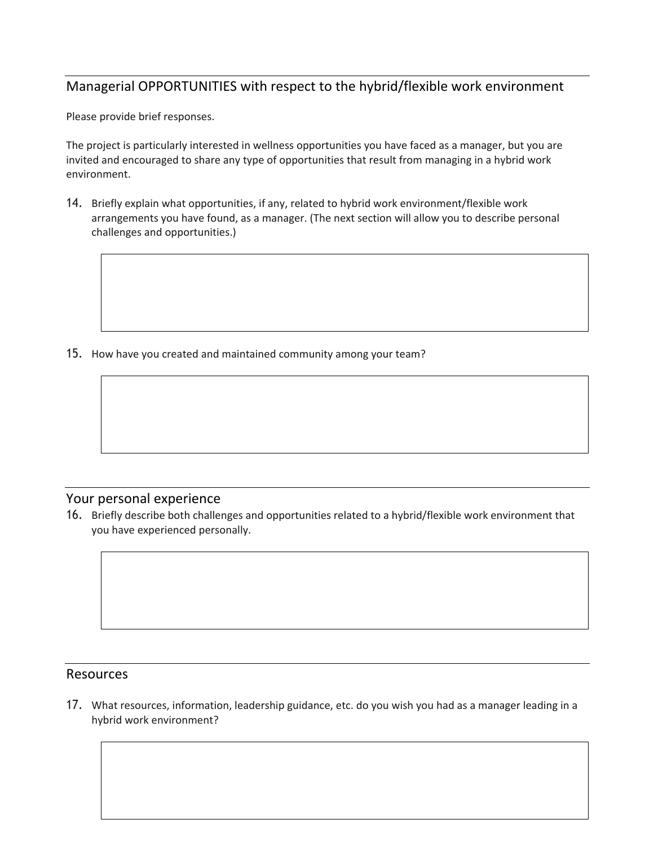## Managerial OPPORTUNITIES with respect to the hybrid/flexible work environment

Please provide brief responses.

The project is particularly interested in wellness opportunities you have faced as a manager, but you are invited and encouraged to share any type of opportunities that result from managing in a hybrid work environment.

14. Briefly explain what opportunities, if any, related to hybrid work environment/flexible work arrangements you have found, as a manager. (The next section will allow you to describe personal challenges and opportunities.)

15. How have you created and maintained community among your team?

#### Your personal experience

16. Briefly describe both challenges and opportunities related to a hybrid/flexible work environment that you have experienced personally.

#### Resources

17. What resources, information, leadership guidance, etc. do you wish you had as a manager leading in a hybrid work environment?